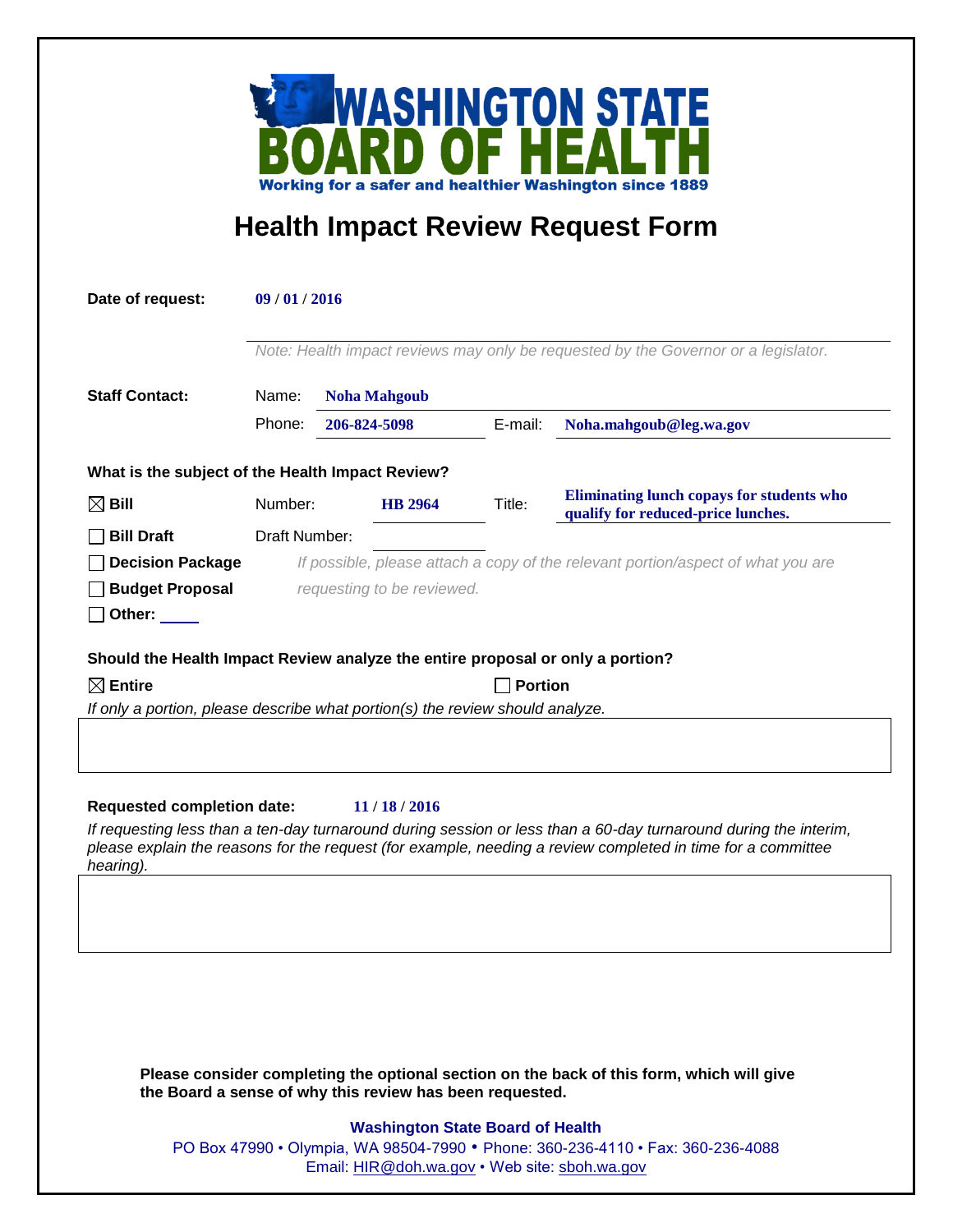

## **Health Impact Review Request Form**

| Date of request:                                                                                                                                                    | 09/01/2016<br>Note: Health impact reviews may only be requested by the Governor or a legislator. |  |                |         |                                                                                        |  |
|---------------------------------------------------------------------------------------------------------------------------------------------------------------------|--------------------------------------------------------------------------------------------------|--|----------------|---------|----------------------------------------------------------------------------------------|--|
|                                                                                                                                                                     |                                                                                                  |  |                |         |                                                                                        |  |
| <b>Staff Contact:</b>                                                                                                                                               | Name:<br><b>Noha Mahgoub</b>                                                                     |  |                |         |                                                                                        |  |
|                                                                                                                                                                     | Phone:                                                                                           |  | 206-824-5098   | E-mail: | Noha.mahgoub@leg.wa.gov                                                                |  |
| What is the subject of the Health Impact Review?                                                                                                                    |                                                                                                  |  |                |         |                                                                                        |  |
| $\boxtimes$ Bill                                                                                                                                                    | Number:                                                                                          |  | <b>HB</b> 2964 | Title:  | <b>Eliminating lunch copays for students who</b><br>qualify for reduced-price lunches. |  |
| <b>Bill Draft</b>                                                                                                                                                   | Draft Number:                                                                                    |  |                |         |                                                                                        |  |
| <b>Decision Package</b>                                                                                                                                             | If possible, please attach a copy of the relevant portion/aspect of what you are                 |  |                |         |                                                                                        |  |
| <b>Budget Proposal</b>                                                                                                                                              | requesting to be reviewed.                                                                       |  |                |         |                                                                                        |  |
| Other:                                                                                                                                                              |                                                                                                  |  |                |         |                                                                                        |  |
| Should the Health Impact Review analyze the entire proposal or only a portion?                                                                                      |                                                                                                  |  |                |         |                                                                                        |  |
| $\boxtimes$ Entire                                                                                                                                                  | <b>Portion</b>                                                                                   |  |                |         |                                                                                        |  |
| If only a portion, please describe what portion(s) the review should analyze.                                                                                       |                                                                                                  |  |                |         |                                                                                        |  |
|                                                                                                                                                                     |                                                                                                  |  |                |         |                                                                                        |  |
|                                                                                                                                                                     |                                                                                                  |  |                |         |                                                                                        |  |
| <b>Requested completion date:</b><br>11/18/2016<br>If requesting less than a ten-day turnaround during session or less than a 60-day turnaround during the interim, |                                                                                                  |  |                |         |                                                                                        |  |
| please explain the reasons for the request (for example, needing a review completed in time for a committee<br>hearing).                                            |                                                                                                  |  |                |         |                                                                                        |  |
|                                                                                                                                                                     |                                                                                                  |  |                |         |                                                                                        |  |
|                                                                                                                                                                     |                                                                                                  |  |                |         |                                                                                        |  |
|                                                                                                                                                                     |                                                                                                  |  |                |         |                                                                                        |  |
|                                                                                                                                                                     |                                                                                                  |  |                |         |                                                                                        |  |
|                                                                                                                                                                     |                                                                                                  |  |                |         |                                                                                        |  |
|                                                                                                                                                                     |                                                                                                  |  |                |         |                                                                                        |  |
| Please consider completing the optional section on the back of this form, which will give<br>the Board a sense of why this review has been requested.               |                                                                                                  |  |                |         |                                                                                        |  |
| <b>Washington State Board of Health</b>                                                                                                                             |                                                                                                  |  |                |         |                                                                                        |  |
|                                                                                                                                                                     | PO Box 47990 • Olympia, WA 98504-7990 • Phone: 360-236-4110 • Fax: 360-236-4088                  |  |                |         |                                                                                        |  |
|                                                                                                                                                                     | Email: HIR@doh.wa.gov • Web site: sboh.wa.gov                                                    |  |                |         |                                                                                        |  |